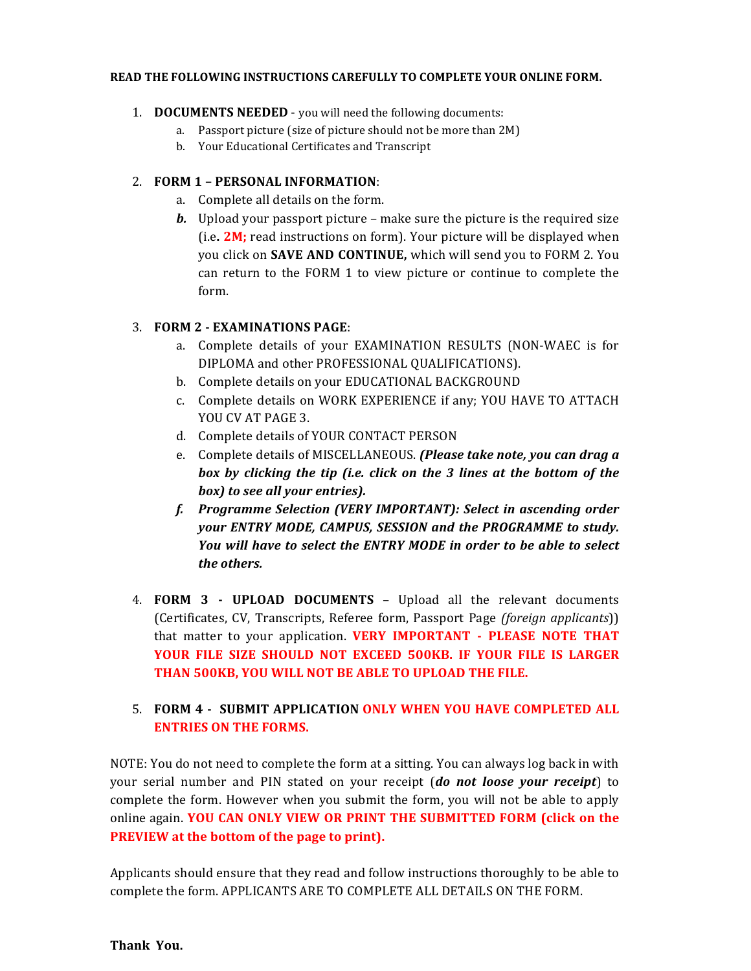#### **READ THE FOLLOWING INSTRUCTIONS CAREFULLY TO COMPLETE YOUR ONLINE FORM.**

- 1. **DOCUMENTS NEEDED** you will need the following documents:
	- a. Passport picture (size of picture should not be more than 2M)
	- b. Your Educational Certificates and Transcript

# 2. **FORM 1 – PERSONAL INFORMATION**:

- a. Complete all details on the form.
- *b.* Upload your passport picture make sure the picture is the required size (i.e**. 2M;** read instructions on form). Your picture will be displayed when you click on **SAVE AND CONTINUE,** which will send you to FORM 2. You can return to the FORM 1 to view picture or continue to complete the form.

# 3. **FORM 2 - EXAMINATIONS PAGE**:

- a. Complete details of your EXAMINATION RESULTS (NON-WAEC is for DIPLOMA and other PROFESSIONAL QUALIFICATIONS).
- b. Complete details on your EDUCATIONAL BACKGROUND
- c. Complete details on WORK EXPERIENCE if any; YOU HAVE TO ATTACH YOU CV AT PAGE 3.
- d. Complete details of YOUR CONTACT PERSON
- e. Complete details of MISCELLANEOUS. *(Please take note, you can drag a box by clicking the tip (i.e. click on the 3 lines at the bottom of the box) to see all your entries).*
- *f. Programme Selection (VERY IMPORTANT): Select in ascending order your ENTRY MODE, CAMPUS, SESSION and the PROGRAMME to study. You will have to select the ENTRY MODE in order to be able to select the others.*
- 4. **FORM 3 - UPLOAD DOCUMENTS** Upload all the relevant documents (Certificates, CV, Transcripts, Referee form, Passport Page *(foreign applicants*)) that matter to your application. **VERY IMPORTANT - PLEASE NOTE THAT YOUR FILE SIZE SHOULD NOT EXCEED 500KB. IF YOUR FILE IS LARGER THAN 500KB, YOU WILL NOT BE ABLE TO UPLOAD THE FILE.**

# 5. **FORM 4 - SUBMIT APPLICATION ONLY WHEN YOU HAVE COMPLETED ALL ENTRIES ON THE FORMS.**

NOTE: You do not need to complete the form at a sitting. You can always log back in with your serial number and PIN stated on your receipt (*do not loose your receipt*) to complete the form. However when you submit the form, you will not be able to apply online again. **YOU CAN ONLY VIEW OR PRINT THE SUBMITTED FORM (click on the PREVIEW at the bottom of the page to print).**

Applicants should ensure that they read and follow instructions thoroughly to be able to complete the form. APPLICANTS ARE TO COMPLETE ALL DETAILS ON THE FORM.